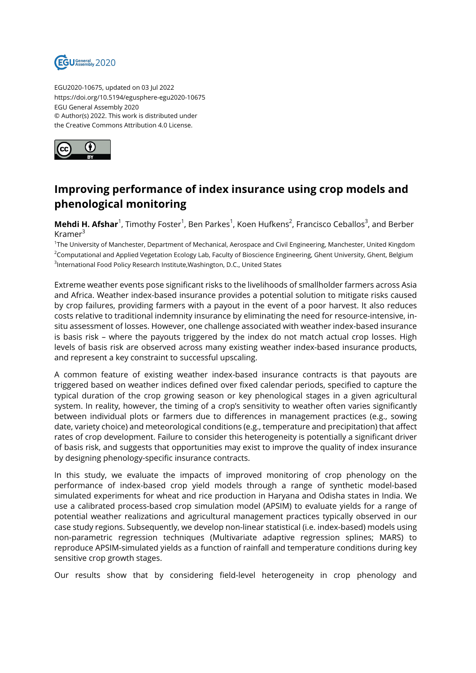

EGU2020-10675, updated on 03 Jul 2022 https://doi.org/10.5194/egusphere-egu2020-10675 EGU General Assembly 2020 © Author(s) 2022. This work is distributed under the Creative Commons Attribution 4.0 License.



## **Improving performance of index insurance using crop models and phenological monitoring**

**Mehdi H. Afshar**<sup>1</sup>, Timothy Foster<sup>1</sup>, Ben Parkes<sup>1</sup>, Koen Hufkens<sup>2</sup>, Francisco Ceballos<sup>3</sup>, and Berber Kramer<sup>3</sup>

<sup>1</sup>The University of Manchester, Department of Mechanical, Aerospace and Civil Engineering, Manchester, United Kingdom <sup>2</sup>Computational and Applied Vegetation Ecology Lab, Faculty of Bioscience Engineering, Ghent University, Ghent, Belgium <sup>3</sup>International Food Policy Research Institute,Washington, D.C., United States

Extreme weather events pose significant risks to the livelihoods of smallholder farmers across Asia and Africa. Weather index-based insurance provides a potential solution to mitigate risks caused by crop failures, providing farmers with a payout in the event of a poor harvest. It also reduces costs relative to traditional indemnity insurance by eliminating the need for resource-intensive, insitu assessment of losses. However, one challenge associated with weather index-based insurance is basis risk – where the payouts triggered by the index do not match actual crop losses. High levels of basis risk are observed across many existing weather index-based insurance products, and represent a key constraint to successful upscaling.

A common feature of existing weather index-based insurance contracts is that payouts are triggered based on weather indices defined over fixed calendar periods, specified to capture the typical duration of the crop growing season or key phenological stages in a given agricultural system. In reality, however, the timing of a crop's sensitivity to weather often varies significantly between individual plots or farmers due to differences in management practices (e.g., sowing date, variety choice) and meteorological conditions (e.g., temperature and precipitation) that affect rates of crop development. Failure to consider this heterogeneity is potentially a significant driver of basis risk, and suggests that opportunities may exist to improve the quality of index insurance by designing phenology-specific insurance contracts.

In this study, we evaluate the impacts of improved monitoring of crop phenology on the performance of index-based crop yield models through a range of synthetic model-based simulated experiments for wheat and rice production in Haryana and Odisha states in India. We use a calibrated process-based crop simulation model (APSIM) to evaluate yields for a range of potential weather realizations and agricultural management practices typically observed in our case study regions. Subsequently, we develop non-linear statistical (i.e. index-based) models using non-parametric regression techniques (Multivariate adaptive regression splines; MARS) to reproduce APSIM-simulated yields as a function of rainfall and temperature conditions during key sensitive crop growth stages.

Our results show that by considering field-level heterogeneity in crop phenology and